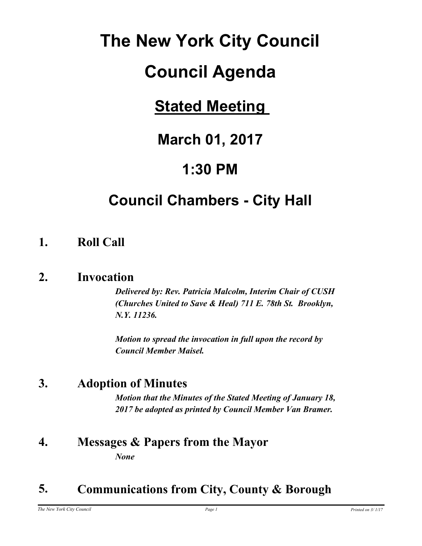# **The New York City Council**

# **Council Agenda**

## **Stated Meeting**

## **March 01, 2017**

## **1:30 PM**

## **Council Chambers - City Hall**

## **1. Roll Call**

## **2. Invocation**

*Delivered by: Rev. Patricia Malcolm, Interim Chair of CUSH (Churches United to Save & Heal) 711 E. 78th St. Brooklyn, N.Y. 11236.*

*Motion to spread the invocation in full upon the record by Council Member Maisel.*

## **3. Adoption of Minutes**

*Motion that the Minutes of the Stated Meeting of January 18, 2017 be adopted as printed by Council Member Van Bramer.*

## **4. Messages & Papers from the Mayor** *None*

## **5. Communications from City, County & Borough**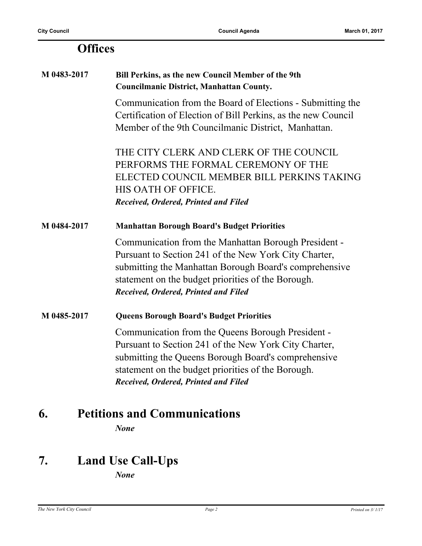| <b>Offices</b> |                                                                                                                                                                                                                                                                       |
|----------------|-----------------------------------------------------------------------------------------------------------------------------------------------------------------------------------------------------------------------------------------------------------------------|
| M 0483-2017    | Bill Perkins, as the new Council Member of the 9th<br><b>Councilmanic District, Manhattan County.</b>                                                                                                                                                                 |
|                | Communication from the Board of Elections - Submitting the<br>Certification of Election of Bill Perkins, as the new Council<br>Member of the 9th Councilmanic District, Manhattan.                                                                                    |
|                | THE CITY CLERK AND CLERK OF THE COUNCIL<br>PERFORMS THE FORMAL CEREMONY OF THE<br>ELECTED COUNCIL MEMBER BILL PERKINS TAKING<br>HIS OATH OF OFFICE.<br>Received, Ordered, Printed and Filed                                                                           |
| M 0484-2017    | <b>Manhattan Borough Board's Budget Priorities</b>                                                                                                                                                                                                                    |
|                | Communication from the Manhattan Borough President -<br>Pursuant to Section 241 of the New York City Charter,<br>submitting the Manhattan Borough Board's comprehensive<br>statement on the budget priorities of the Borough.<br>Received, Ordered, Printed and Filed |
| M 0485-2017    | <b>Queens Borough Board's Budget Priorities</b>                                                                                                                                                                                                                       |
|                | Communication from the Queens Borough President -<br>Pursuant to Section 241 of the New York City Charter,<br>submitting the Queens Borough Board's comprehensive<br>statement on the budget priorities of the Borough.<br>Received, Ordered, Printed and Filed       |
| 6.             | <b>Petitions and Communications</b>                                                                                                                                                                                                                                   |

*None*

## **7. Land Use Call-Ups**

*None*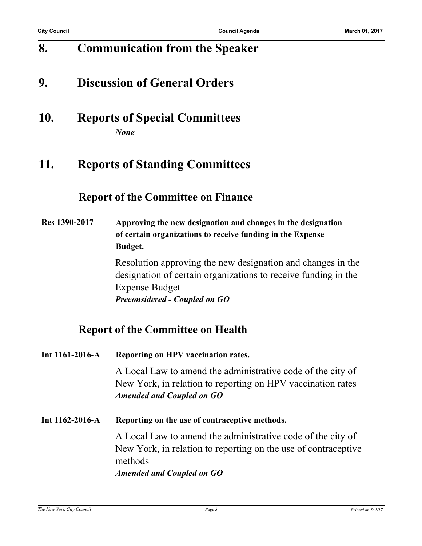## **8. Communication from the Speaker**

## **9. Discussion of General Orders**

**10. Reports of Special Committees** *None*

## **11. Reports of Standing Committees**

#### **Report of the Committee on Finance**

**Res 1390-2017 Approving the new designation and changes in the designation of certain organizations to receive funding in the Expense Budget.**

> Resolution approving the new designation and changes in the designation of certain organizations to receive funding in the Expense Budget *Preconsidered - Coupled on GO*

### **Report of the Committee on Health**

| Int $1161-2016-A$     | Reporting on HPV vaccination rates.                                                                                                                                          |  |
|-----------------------|------------------------------------------------------------------------------------------------------------------------------------------------------------------------------|--|
|                       | A Local Law to amend the administrative code of the city of<br>New York, in relation to reporting on HPV vaccination rates<br><b>Amended and Coupled on GO</b>               |  |
| Int $1162 - 2016 - A$ | Reporting on the use of contraceptive methods.                                                                                                                               |  |
|                       | A Local Law to amend the administrative code of the city of<br>New York, in relation to reporting on the use of contraceptive<br>methods<br><b>Amended and Coupled on GO</b> |  |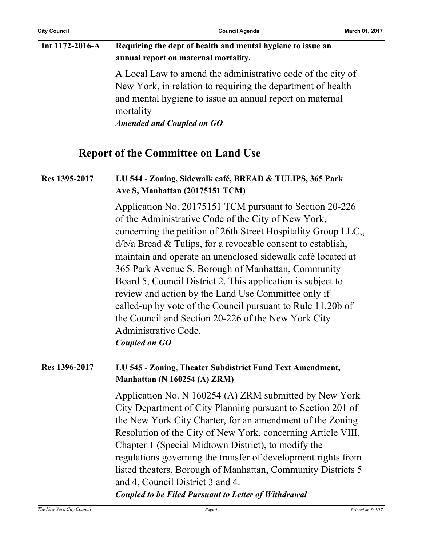**City Council Council Agenda March 01, 2017**

| Int 1172-2016-A | Requiring the dept of health and mental hygiene to issue an<br>annual report on maternal mortality.                                                                                                                              |
|-----------------|----------------------------------------------------------------------------------------------------------------------------------------------------------------------------------------------------------------------------------|
|                 | A Local Law to amend the administrative code of the city of<br>New York, in relation to requiring the department of health<br>and mental hygiene to issue an annual report on maternal<br>mortality<br>Amended and Coupled on GO |

#### **Report of the Committee on Land Use**

#### **Res 1395-2017 LU 544 - Zoning, Sidewalk café, BREAD & TULIPS, 365 Park Ave S, Manhattan (20175151 TCM)**

Application No. 20175151 TCM pursuant to Section 20-226 of the Administrative Code of the City of New York, concerning the petition of 26th Street Hospitality Group LLC,, d/b/a Bread & Tulips, for a revocable consent to establish, maintain and operate an unenclosed sidewalk café located at 365 Park Avenue S, Borough of Manhattan, Community Board 5, Council District 2. This application is subject to review and action by the Land Use Committee only if called-up by vote of the Council pursuant to Rule 11.20b of the Council and Section 20-226 of the New York City Administrative Code. *Coupled on GO*

#### **Res 1396-2017 LU 545 - Zoning, Theater Subdistrict Fund Text Amendment, Manhattan (N 160254 (A) ZRM)**

Application No. N 160254 (A) ZRM submitted by New York City Department of City Planning pursuant to Section 201 of the New York City Charter, for an amendment of the Zoning Resolution of the City of New York, concerning Article VIII, Chapter 1 (Special Midtown District), to modify the regulations governing the transfer of development rights from listed theaters, Borough of Manhattan, Community Districts 5 and 4, Council District 3 and 4.

#### *Coupled to be Filed Pursuant to Letter of Withdrawal*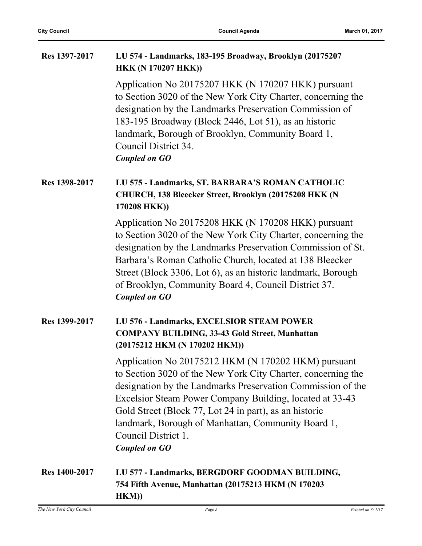| Res 1397-2017 | LU 574 - Landmarks, 183-195 Broadway, Brooklyn (20175207<br><b>HKK (N 170207 HKK))</b>                                                                                                                                                                                                                                                                                                                        |
|---------------|---------------------------------------------------------------------------------------------------------------------------------------------------------------------------------------------------------------------------------------------------------------------------------------------------------------------------------------------------------------------------------------------------------------|
|               | Application No 20175207 HKK (N 170207 HKK) pursuant<br>to Section 3020 of the New York City Charter, concerning the<br>designation by the Landmarks Preservation Commission of<br>183-195 Broadway (Block 2446, Lot 51), as an historic<br>landmark, Borough of Brooklyn, Community Board 1,<br>Council District 34.<br><b>Coupled on GO</b>                                                                  |
| Res 1398-2017 | LU 575 - Landmarks, ST. BARBARA'S ROMAN CATHOLIC<br>CHURCH, 138 Bleecker Street, Brooklyn (20175208 HKK (N<br>170208 HKK))                                                                                                                                                                                                                                                                                    |
|               | Application No 20175208 HKK (N 170208 HKK) pursuant<br>to Section 3020 of the New York City Charter, concerning the<br>designation by the Landmarks Preservation Commission of St.<br>Barbara's Roman Catholic Church, located at 138 Bleecker<br>Street (Block 3306, Lot 6), as an historic landmark, Borough<br>of Brooklyn, Community Board 4, Council District 37.<br><b>Coupled on GO</b>                |
| Res 1399-2017 | LU 576 - Landmarks, EXCELSIOR STEAM POWER<br><b>COMPANY BUILDING, 33-43 Gold Street, Manhattan</b><br>(20175212 HKM (N 170202 HKM))                                                                                                                                                                                                                                                                           |
|               | Application No 20175212 HKM (N 170202 HKM) pursuant<br>to Section 3020 of the New York City Charter, concerning the<br>designation by the Landmarks Preservation Commission of the<br>Excelsior Steam Power Company Building, located at 33-43<br>Gold Street (Block 77, Lot 24 in part), as an historic<br>landmark, Borough of Manhattan, Community Board 1,<br>Council District 1.<br><b>Coupled on GO</b> |
| Res 1400-2017 | LU 577 - Landmarks, BERGDORF GOODMAN BUILDING,<br>754 Fifth Avenue, Manhattan (20175213 HKM (N 170203                                                                                                                                                                                                                                                                                                         |

**HKM))**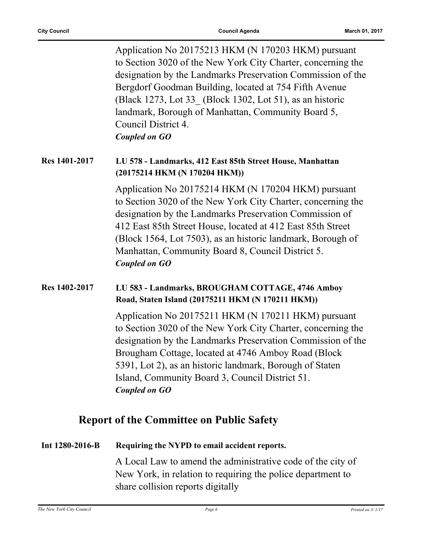Application No 20175213 HKM (N 170203 HKM) pursuant to Section 3020 of the New York City Charter, concerning the designation by the Landmarks Preservation Commission of the Bergdorf Goodman Building, located at 754 Fifth Avenue (Black 1273, Lot 33\_ (Block 1302, Lot 51), as an historic landmark, Borough of Manhattan, Community Board 5, Council District 4. *Coupled on GO*

#### **Res 1401-2017 LU 578 - Landmarks, 412 East 85th Street House, Manhattan (20175214 HKM (N 170204 HKM))**

Application No 20175214 HKM (N 170204 HKM) pursuant to Section 3020 of the New York City Charter, concerning the designation by the Landmarks Preservation Commission of 412 East 85th Street House, located at 412 East 85th Street (Block 1564, Lot 7503), as an historic landmark, Borough of Manhattan, Community Board 8, Council District 5. *Coupled on GO*

#### **Res 1402-2017 LU 583 - Landmarks, BROUGHAM COTTAGE, 4746 Amboy Road, Staten Island (20175211 HKM (N 170211 HKM))**

Application No 20175211 HKM (N 170211 HKM) pursuant to Section 3020 of the New York City Charter, concerning the designation by the Landmarks Preservation Commission of the Brougham Cottage, located at 4746 Amboy Road (Block 5391, Lot 2), as an historic landmark, Borough of Staten Island, Community Board 3, Council District 51. *Coupled on GO*

### **Report of the Committee on Public Safety**

#### **Int 1280-2016-B Requiring the NYPD to email accident reports.**

A Local Law to amend the administrative code of the city of New York, in relation to requiring the police department to share collision reports digitally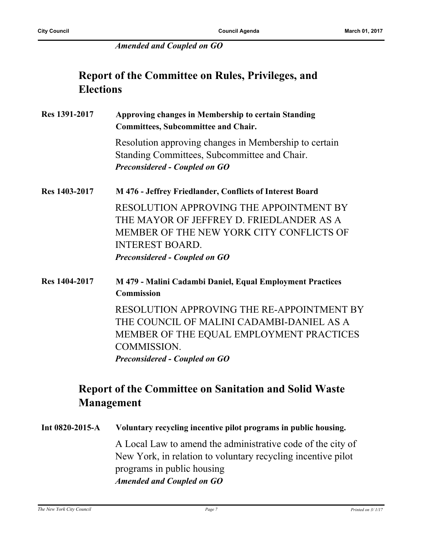#### *Amended and Coupled on GO*

## **Report of the Committee on Rules, Privileges, and Elections**

**Res 1391-2017 Approving changes in Membership to certain Standing Committees, Subcommittee and Chair.** Resolution approving changes in Membership to certain Standing Committees, Subcommittee and Chair. *Preconsidered - Coupled on GO* **Res 1403-2017 M 476 - Jeffrey Friedlander, Conflicts of Interest Board** RESOLUTION APPROVING THE APPOINTMENT BY THE MAYOR OF JEFFREY D. FRIEDLANDER AS A MEMBER OF THE NEW YORK CITY CONFLICTS OF INTEREST BOARD. *Preconsidered - Coupled on GO*

**Res 1404-2017 M 479 - Malini Cadambi Daniel, Equal Employment Practices Commission** RESOLUTION APPROVING THE RE-APPOINTMENT BY THE COUNCIL OF MALINI CADAMBI-DANIEL AS A MEMBER OF THE EQUAL EMPLOYMENT PRACTICES COMMISSION. *Preconsidered - Coupled on GO*

## **Report of the Committee on Sanitation and Solid Waste Management**

**Int 0820-2015-A Voluntary recycling incentive pilot programs in public housing.** A Local Law to amend the administrative code of the city of New York, in relation to voluntary recycling incentive pilot programs in public housing *Amended and Coupled on GO*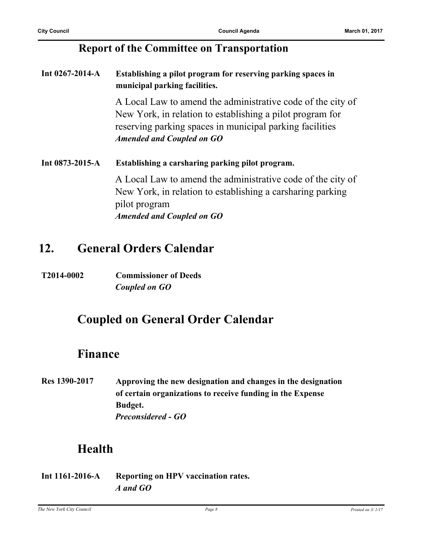### **Report of the Committee on Transportation**

**Int 0267-2014-A Establishing a pilot program for reserving parking spaces in municipal parking facilities.**

> A Local Law to amend the administrative code of the city of New York, in relation to establishing a pilot program for reserving parking spaces in municipal parking facilities *Amended and Coupled on GO*

**Int 0873-2015-A Establishing a carsharing parking pilot program.** A Local Law to amend the administrative code of the city of New York, in relation to establishing a carsharing parking pilot program *Amended and Coupled on GO*

## **12. General Orders Calendar**

**T2014-0002 Commissioner of Deeds** *Coupled on GO*

## **Coupled on General Order Calendar**

## **Finance**

**Res 1390-2017 Approving the new designation and changes in the designation of certain organizations to receive funding in the Expense Budget.** *Preconsidered - GO*

## **Health**

**Int 1161-2016-A Reporting on HPV vaccination rates.** *A and GO*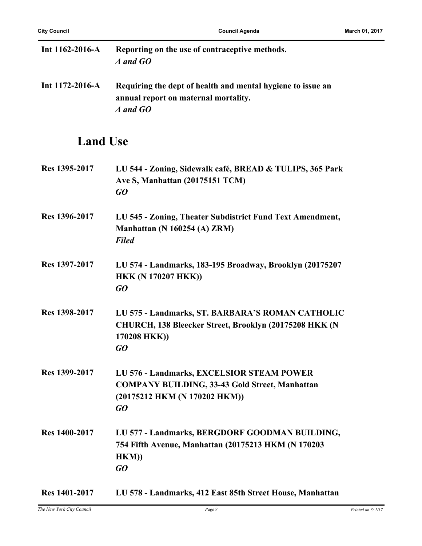| Int $1162 - 2016 - A$ | Reporting on the use of contraceptive methods.<br>A and GO                                                      |
|-----------------------|-----------------------------------------------------------------------------------------------------------------|
| Int $1172 - 2016 - A$ | Requiring the dept of health and mental hygiene to issue an<br>annual report on maternal mortality.<br>A and GO |
| <b>Land Use</b>       |                                                                                                                 |
| Res 1395-2017         | LU 544 - Zoning, Sidewalk café, BREAD & TULIPS, 365 Park<br>Ave S, Manhattan (20175151 TCM)<br>GO               |
| Res 1396-2017         | LU 545 - Zoning, Theater Subdistrict Fund Text Amendment,<br>Manhattan (N 160254 (A) ZRM)<br><b>Filed</b>       |
| Res 1397-2017         | LU 574 - Landmarks, 183-195 Broadway, Brooklyn (20175207<br><b>HKK (N 170207 HKK))</b>                          |

- *GO*
- **Res 1398-2017 LU 575 Landmarks, ST. BARBARA'S ROMAN CATHOLIC CHURCH, 138 Bleecker Street, Brooklyn (20175208 HKK (N 170208 HKK))** *GO*
- **Res 1399-2017 LU 576 Landmarks, EXCELSIOR STEAM POWER COMPANY BUILDING, 33-43 Gold Street, Manhattan (20175212 HKM (N 170202 HKM))** *GO*
- **Res 1400-2017 LU 577 Landmarks, BERGDORF GOODMAN BUILDING, 754 Fifth Avenue, Manhattan (20175213 HKM (N 170203 HKM))** *GO*
- **Res 1401-2017 LU 578 Landmarks, 412 East 85th Street House, Manhattan**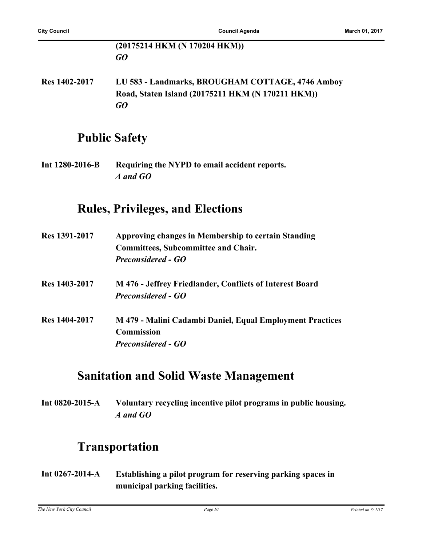#### **(20175214 HKM (N 170204 HKM))** *GO*

**Res 1402-2017 LU 583 - Landmarks, BROUGHAM COTTAGE, 4746 Amboy Road, Staten Island (20175211 HKM (N 170211 HKM))** *GO*

## **Public Safety**

**Int 1280-2016-B Requiring the NYPD to email accident reports.** *A and GO*

### **Rules, Privileges, and Elections**

| Res 1391-2017 | Approving changes in Membership to certain Standing<br><b>Committees, Subcommittee and Chair.</b> |
|---------------|---------------------------------------------------------------------------------------------------|
|               | <b>Preconsidered - GO</b>                                                                         |
| Res 1403-2017 | M 476 - Jeffrey Friedlander, Conflicts of Interest Board                                          |
|               | <b>Preconsidered - GO</b>                                                                         |
| Res 1404-2017 | M 479 - Malini Cadambi Daniel, Equal Employment Practices                                         |
|               | <b>Commission</b>                                                                                 |
|               | <b>Preconsidered - GO</b>                                                                         |

## **Sanitation and Solid Waste Management**

**Int 0820-2015-A Voluntary recycling incentive pilot programs in public housing.** *A and GO*

## **Transportation**

**Int 0267-2014-A Establishing a pilot program for reserving parking spaces in municipal parking facilities.**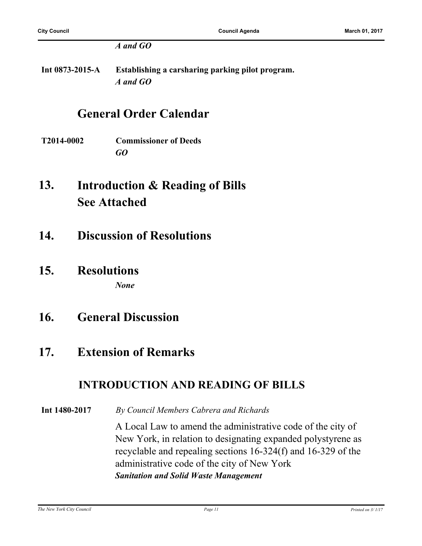#### *A and GO*

**Int 0873-2015-A Establishing a carsharing parking pilot program.** *A and GO*

## **General Order Calendar**

- **T2014-0002 Commissioner of Deeds** *GO*
- **Introduction & Reading of Bills See Attached 13.**
- **14. Discussion of Resolutions**
- **15. Resolutions**

*None*

- **16. General Discussion**
- **17. Extension of Remarks**

## **INTRODUCTION AND READING OF BILLS**

**Int 1480-2017** *By Council Members Cabrera and Richards*

A Local Law to amend the administrative code of the city of New York, in relation to designating expanded polystyrene as recyclable and repealing sections 16-324(f) and 16-329 of the administrative code of the city of New York *Sanitation and Solid Waste Management*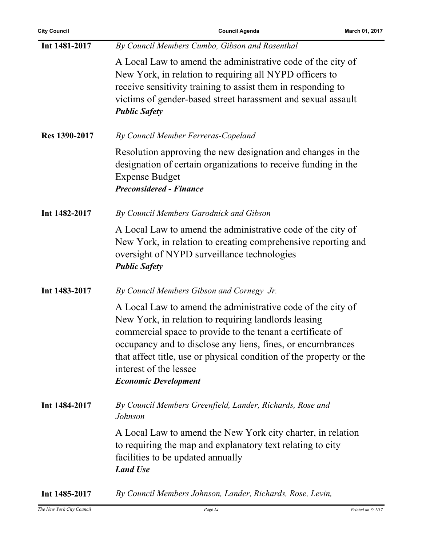| <b>City Council</b> | <b>Council Agenda</b>                                                                                                                                                                                                                                                                                                                                                            | March 01, 2017 |
|---------------------|----------------------------------------------------------------------------------------------------------------------------------------------------------------------------------------------------------------------------------------------------------------------------------------------------------------------------------------------------------------------------------|----------------|
| Int 1481-2017       | By Council Members Cumbo, Gibson and Rosenthal                                                                                                                                                                                                                                                                                                                                   |                |
|                     | A Local Law to amend the administrative code of the city of<br>New York, in relation to requiring all NYPD officers to<br>receive sensitivity training to assist them in responding to<br>victims of gender-based street harassment and sexual assault<br><b>Public Safety</b>                                                                                                   |                |
| Res 1390-2017       | By Council Member Ferreras-Copeland                                                                                                                                                                                                                                                                                                                                              |                |
|                     | Resolution approving the new designation and changes in the<br>designation of certain organizations to receive funding in the<br><b>Expense Budget</b><br><b>Preconsidered - Finance</b>                                                                                                                                                                                         |                |
| Int 1482-2017       | By Council Members Garodnick and Gibson                                                                                                                                                                                                                                                                                                                                          |                |
|                     | A Local Law to amend the administrative code of the city of<br>New York, in relation to creating comprehensive reporting and<br>oversight of NYPD surveillance technologies<br><b>Public Safety</b>                                                                                                                                                                              |                |
| Int 1483-2017       | By Council Members Gibson and Cornegy Jr.                                                                                                                                                                                                                                                                                                                                        |                |
|                     | A Local Law to amend the administrative code of the city of<br>New York, in relation to requiring landlords leasing<br>commercial space to provide to the tenant a certificate of<br>occupancy and to disclose any liens, fines, or encumbrances<br>that affect title, use or physical condition of the property or the<br>interest of the lessee<br><b>Economic Development</b> |                |
| Int 1484-2017       | By Council Members Greenfield, Lander, Richards, Rose and<br>Johnson                                                                                                                                                                                                                                                                                                             |                |
|                     | A Local Law to amend the New York city charter, in relation<br>to requiring the map and explanatory text relating to city<br>facilities to be updated annually<br><b>Land Use</b>                                                                                                                                                                                                |                |
| Int 1485-2017       | By Council Members Johnson, Lander, Richards, Rose, Levin,                                                                                                                                                                                                                                                                                                                       |                |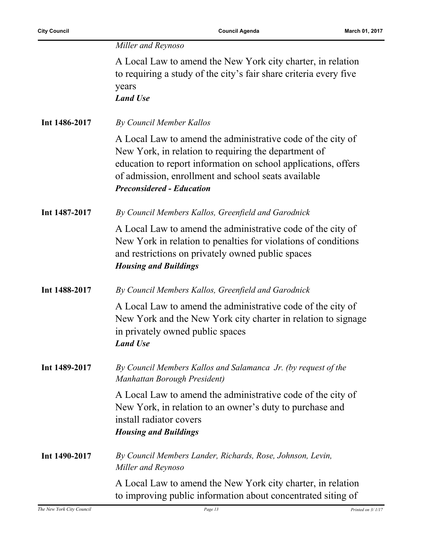|  |  | Miller and Reynoso |
|--|--|--------------------|
|--|--|--------------------|

A Local Law to amend the New York city charter, in relation to requiring a study of the city's fair share criteria every five years *Land Use*

**Int 1486-2017** *By Council Member Kallos*

A Local Law to amend the administrative code of the city of New York, in relation to requiring the department of education to report information on school applications, offers of admission, enrollment and school seats available *Preconsidered - Education*

**Int 1487-2017** *By Council Members Kallos, Greenfield and Garodnick*

A Local Law to amend the administrative code of the city of New York in relation to penalties for violations of conditions and restrictions on privately owned public spaces *Housing and Buildings*

**Int 1488-2017** *By Council Members Kallos, Greenfield and Garodnick*

A Local Law to amend the administrative code of the city of New York and the New York city charter in relation to signage in privately owned public spaces *Land Use*

**Int 1489-2017** *By Council Members Kallos and Salamanca Jr. (by request of the Manhattan Borough President)*

> A Local Law to amend the administrative code of the city of New York, in relation to an owner's duty to purchase and install radiator covers *Housing and Buildings*

**Int 1490-2017** *By Council Members Lander, Richards, Rose, Johnson, Levin, Miller and Reynoso*

> A Local Law to amend the New York city charter, in relation to improving public information about concentrated siting of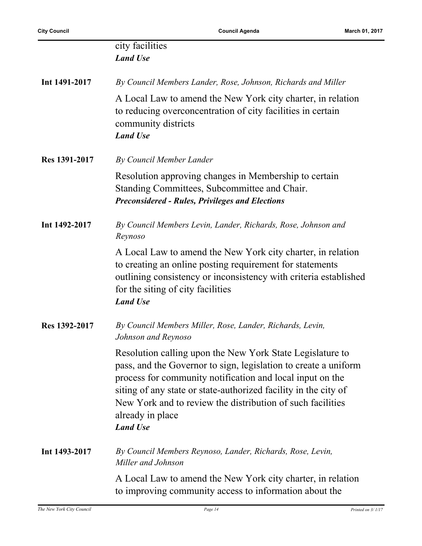|               | city facilities<br><b>Land Use</b>                                                                                                                                                                                                                                                                                                                                |
|---------------|-------------------------------------------------------------------------------------------------------------------------------------------------------------------------------------------------------------------------------------------------------------------------------------------------------------------------------------------------------------------|
| Int 1491-2017 | By Council Members Lander, Rose, Johnson, Richards and Miller                                                                                                                                                                                                                                                                                                     |
|               | A Local Law to amend the New York city charter, in relation<br>to reducing overconcentration of city facilities in certain<br>community districts<br><b>Land Use</b>                                                                                                                                                                                              |
| Res 1391-2017 | By Council Member Lander                                                                                                                                                                                                                                                                                                                                          |
|               | Resolution approving changes in Membership to certain<br>Standing Committees, Subcommittee and Chair.<br><b>Preconsidered - Rules, Privileges and Elections</b>                                                                                                                                                                                                   |
| Int 1492-2017 | By Council Members Levin, Lander, Richards, Rose, Johnson and<br>Reynoso                                                                                                                                                                                                                                                                                          |
|               | A Local Law to amend the New York city charter, in relation<br>to creating an online posting requirement for statements<br>outlining consistency or inconsistency with criteria established<br>for the siting of city facilities<br><b>Land Use</b>                                                                                                               |
| Res 1392-2017 | By Council Members Miller, Rose, Lander, Richards, Levin,<br>Johnson and Reynoso                                                                                                                                                                                                                                                                                  |
|               | Resolution calling upon the New York State Legislature to<br>pass, and the Governor to sign, legislation to create a uniform<br>process for community notification and local input on the<br>siting of any state or state-authorized facility in the city of<br>New York and to review the distribution of such facilities<br>already in place<br><b>Land Use</b> |
| Int 1493-2017 | By Council Members Reynoso, Lander, Richards, Rose, Levin,<br>Miller and Johnson                                                                                                                                                                                                                                                                                  |
|               | A Local Law to amend the New York city charter, in relation<br>to improving community access to information about the                                                                                                                                                                                                                                             |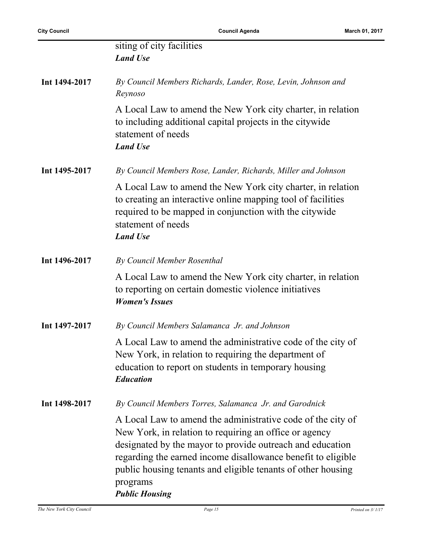|               | siting of city facilities<br><b>Land Use</b>                                                                                                                                                                                                                                                                                                            |
|---------------|---------------------------------------------------------------------------------------------------------------------------------------------------------------------------------------------------------------------------------------------------------------------------------------------------------------------------------------------------------|
| Int 1494-2017 | By Council Members Richards, Lander, Rose, Levin, Johnson and<br>Reynoso                                                                                                                                                                                                                                                                                |
|               | A Local Law to amend the New York city charter, in relation<br>to including additional capital projects in the citywide<br>statement of needs<br><b>Land Use</b>                                                                                                                                                                                        |
| Int 1495-2017 | By Council Members Rose, Lander, Richards, Miller and Johnson                                                                                                                                                                                                                                                                                           |
|               | A Local Law to amend the New York city charter, in relation<br>to creating an interactive online mapping tool of facilities<br>required to be mapped in conjunction with the citywide<br>statement of needs<br><b>Land Use</b>                                                                                                                          |
| Int 1496-2017 | By Council Member Rosenthal                                                                                                                                                                                                                                                                                                                             |
|               | A Local Law to amend the New York city charter, in relation<br>to reporting on certain domestic violence initiatives<br><b>Women's Issues</b>                                                                                                                                                                                                           |
| Int 1497-2017 | By Council Members Salamanca Jr. and Johnson                                                                                                                                                                                                                                                                                                            |
|               | A Local Law to amend the administrative code of the city of<br>New York, in relation to requiring the department of<br>education to report on students in temporary housing<br><b>Education</b>                                                                                                                                                         |
| Int 1498-2017 | By Council Members Torres, Salamanca Jr. and Garodnick                                                                                                                                                                                                                                                                                                  |
|               | A Local Law to amend the administrative code of the city of<br>New York, in relation to requiring an office or agency<br>designated by the mayor to provide outreach and education<br>regarding the earned income disallowance benefit to eligible<br>public housing tenants and eligible tenants of other housing<br>programs<br><b>Public Housing</b> |